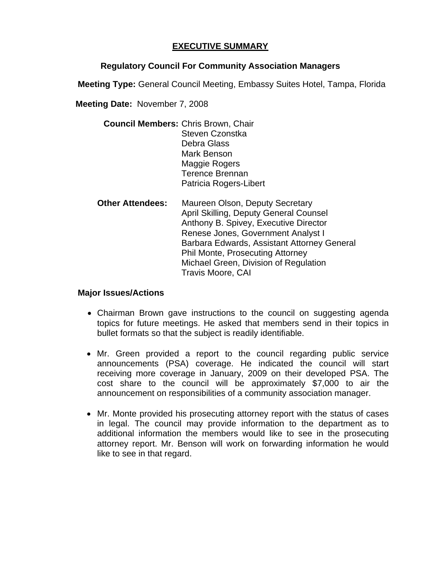## **EXECUTIVE SUMMARY**

## **Regulatory Council For Community Association Managers**

**Meeting Type:** General Council Meeting, Embassy Suites Hotel, Tampa, Florida

**Meeting Date:** November 7, 2008

| <b>Council Members: Chris Brown, Chair</b> |
|--------------------------------------------|
| Steven Czonstka                            |
| Debra Glass                                |
| Mark Benson                                |
| Maggie Rogers                              |
| <b>Terence Brennan</b>                     |
| Patricia Rogers-Libert                     |
|                                            |

 **Other Attendees:** Maureen Olson, Deputy Secretary April Skilling, Deputy General Counsel Anthony B. Spivey, Executive Director Renese Jones, Government Analyst I Barbara Edwards, Assistant Attorney General Phil Monte, Prosecuting Attorney Michael Green, Division of Regulation Travis Moore, CAI

## **Major Issues/Actions**

- Chairman Brown gave instructions to the council on suggesting agenda topics for future meetings. He asked that members send in their topics in bullet formats so that the subject is readily identifiable.
- Mr. Green provided a report to the council regarding public service announcements (PSA) coverage. He indicated the council will start receiving more coverage in January, 2009 on their developed PSA. The cost share to the council will be approximately \$7,000 to air the announcement on responsibilities of a community association manager.
- Mr. Monte provided his prosecuting attorney report with the status of cases in legal. The council may provide information to the department as to additional information the members would like to see in the prosecuting attorney report. Mr. Benson will work on forwarding information he would like to see in that regard.